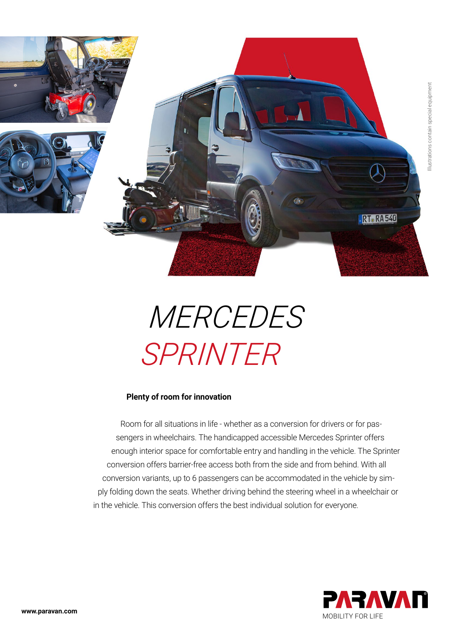

## *MERCEDES SPRINTER*

## **Plenty of room for innovation**

Room for all situations in life - whether as a conversion for drivers or for passengers in wheelchairs. The handicapped accessible Mercedes Sprinter offers enough interior space for comfortable entry and handling in the vehicle. The Sprinter conversion offers barrier-free access both from the side and from behind. With all conversion variants, up to 6 passengers can be accommodated in the vehicle by simply folding down the seats. Whether driving behind the steering wheel in a wheelchair or in the vehicle. This conversion offers the best individual solution for everyone.